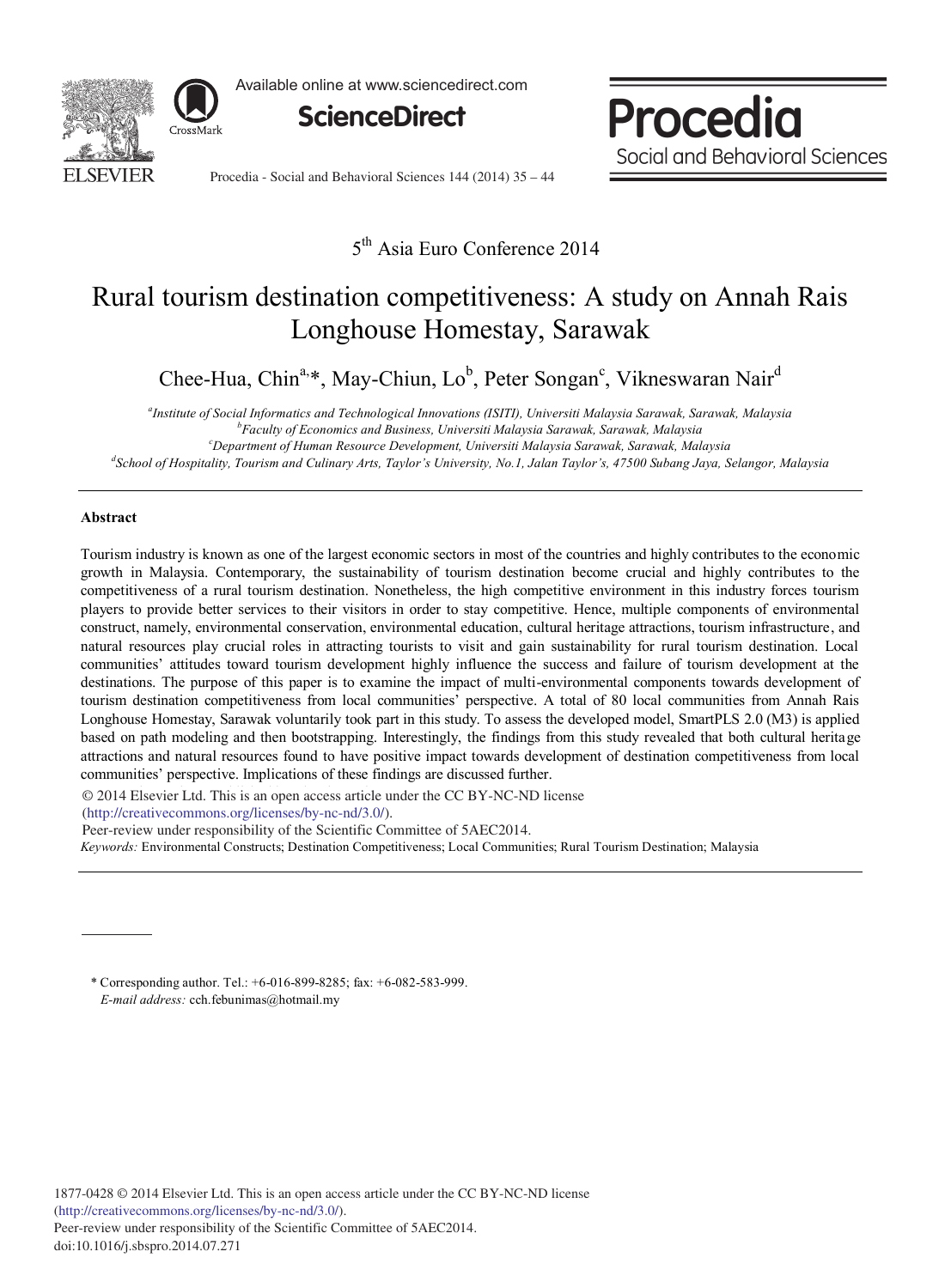

Available online at www.sciencedirect.com



Procedia Social and Behavioral Sciences

Procedia - Social and Behavioral Sciences 144 (2014) 35 – 44

5<sup>th</sup> Asia Euro Conference 2014

# Rural tourism destination competitiveness: A study on Annah Rais Longhouse Homestay, Sarawak

Chee-Hua, Chin<sup>a,\*</sup>, May-Chiun, Lo<sup>b</sup>, Peter Songan<sup>c</sup>, Vikneswaran Nair<sup>d</sup>

*a Institute of Social Informatics and Technological Innovations (ISITI), Universiti Malaysia Sarawak, Sarawak, Malaysia b Faculty of Economics and Business, Universiti Malaysia Sarawak, Sarawak, Malaysia*

*c Department of Human Resource Development, Universiti Malaysia Sarawak, Sarawak, Malaysia*

*d School of Hospitality, Tourism and Culinary Arts, Taylor's University, No.1, Jalan Taylor's, 47500 Subang Jaya, Selangor, Malaysia* 

## **Abstract**

Tourism industry is known as one of the largest economic sectors in most of the countries and highly contributes to the economic growth in Malaysia. Contemporary, the sustainability of tourism destination become crucial and highly contributes to the competitiveness of a rural tourism destination. Nonetheless, the high competitive environment in this industry forces tourism players to provide better services to their visitors in order to stay competitive. Hence, multiple components of environmental construct, namely, environmental conservation, environmental education, cultural heritage attractions, tourism infrastructure, and natural resources play crucial roles in attracting tourists to visit and gain sustainability for rural tourism destination. Local communities' attitudes toward tourism development highly influence the success and failure of tourism development at the destinations. The purpose of this paper is to examine the impact of multi-environmental components towards development of tourism destination competitiveness from local communities' perspective. A total of 80 local communities from Annah Rais Longhouse Homestay, Sarawak voluntarily took part in this study. To assess the developed model, SmartPLS 2.0 (M3) is applied based on path modeling and then bootstrapping. Interestingly, the findings from this study revealed that both cultural heritage attractions and natural resources found to have positive impact towards development of destination competitiveness from local communities' perspective. Implications of these findings are discussed further.

© 2014 Elsevier Ltd. This is an open access article under the CC BY-NC-ND license

(http://creativecommons.org/licenses/by-nc-nd/3.0/).

Peer-review under responsibility of the Scientific Committee of 5AEC2014.

*Keywords:* Environmental Constructs; Destination Competitiveness; Local Communities; Rural Tourism Destination; Malaysia

\* Corresponding author. Tel.: +6-016-899-8285; fax: +6-082-583-999. *E-mail address:* cch.febunimas@hotmail.my

1877-0428 © 2014 Elsevier Ltd. This is an open access article under the CC BY-NC-ND license (http://creativecommons.org/licenses/by-nc-nd/3.0/). Peer-review under responsibility of the Scientific Committee of 5AEC2014. doi: 10.1016/j.sbspro.2014.07.271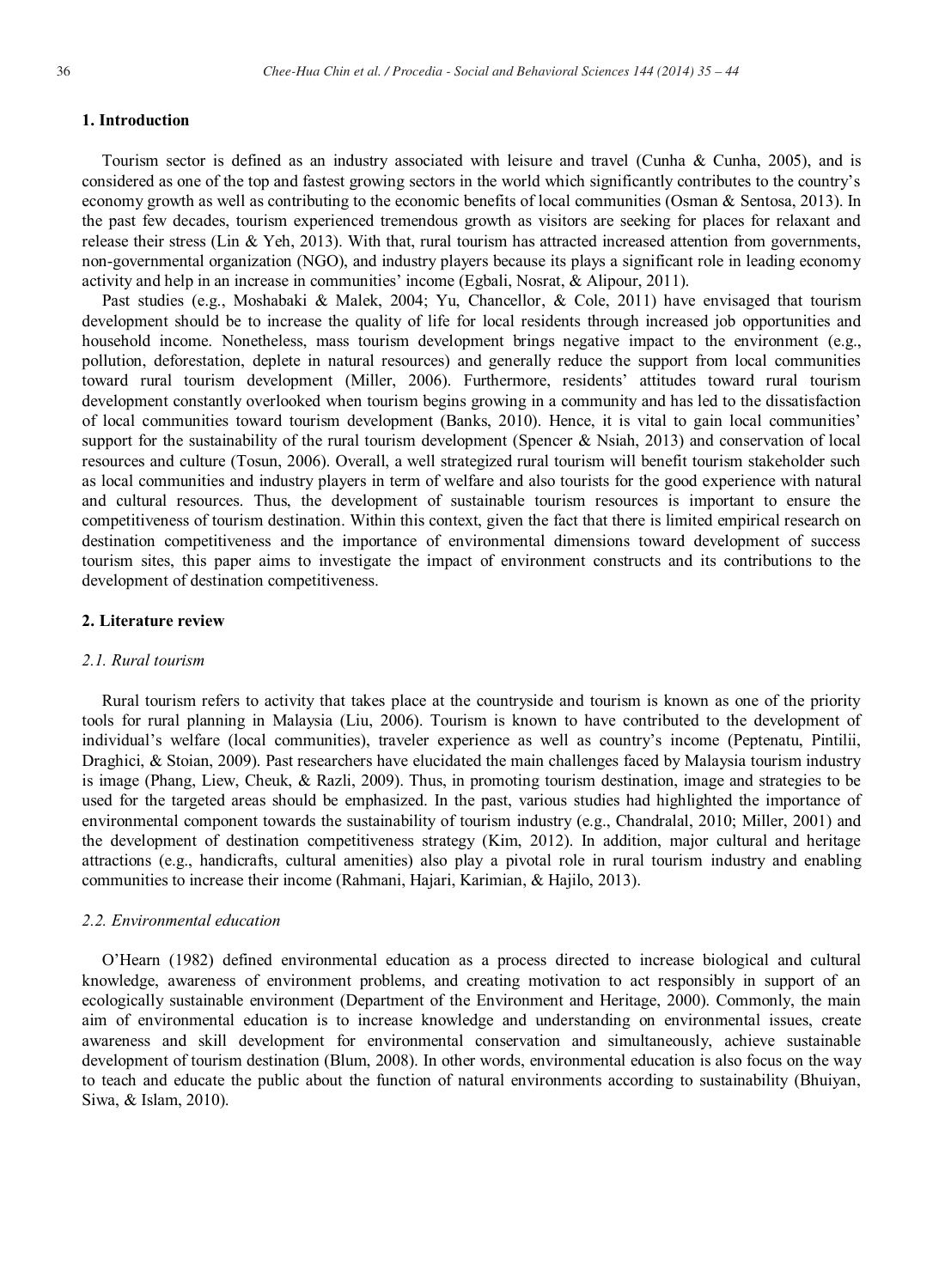# **1. Introduction**

Tourism sector is defined as an industry associated with leisure and travel (Cunha & Cunha, 2005), and is considered as one of the top and fastest growing sectors in the world which significantly contributes to the country's economy growth as well as contributing to the economic benefits of local communities (Osman & Sentosa, 2013). In the past few decades, tourism experienced tremendous growth as visitors are seeking for places for relaxant and release their stress (Lin & Yeh, 2013). With that, rural tourism has attracted increased attention from governments, non-governmental organization (NGO), and industry players because its plays a significant role in leading economy activity and help in an increase in communities' income (Egbali, Nosrat, & Alipour, 2011).

Past studies (e.g., Moshabaki & Malek, 2004; Yu, Chancellor, & Cole, 2011) have envisaged that tourism development should be to increase the quality of life for local residents through increased job opportunities and household income. Nonetheless, mass tourism development brings negative impact to the environment (e.g., pollution, deforestation, deplete in natural resources) and generally reduce the support from local communities toward rural tourism development (Miller, 2006). Furthermore, residents' attitudes toward rural tourism development constantly overlooked when tourism begins growing in a community and has led to the dissatisfaction of local communities toward tourism development (Banks, 2010). Hence, it is vital to gain local communities' support for the sustainability of the rural tourism development (Spencer & Nsiah, 2013) and conservation of local resources and culture (Tosun, 2006). Overall, a well strategized rural tourism will benefit tourism stakeholder such as local communities and industry players in term of welfare and also tourists for the good experience with natural and cultural resources. Thus, the development of sustainable tourism resources is important to ensure the competitiveness of tourism destination. Within this context, given the fact that there is limited empirical research on destination competitiveness and the importance of environmental dimensions toward development of success tourism sites, this paper aims to investigate the impact of environment constructs and its contributions to the development of destination competitiveness.

#### **2. Literature review**

### *2.1. Rural tourism*

Rural tourism refers to activity that takes place at the countryside and tourism is known as one of the priority tools for rural planning in Malaysia (Liu, 2006). Tourism is known to have contributed to the development of individual's welfare (local communities), traveler experience as well as country's income (Peptenatu, Pintilii, Draghici, & Stoian, 2009). Past researchers have elucidated the main challenges faced by Malaysia tourism industry is image (Phang, Liew, Cheuk, & Razli, 2009). Thus, in promoting tourism destination, image and strategies to be used for the targeted areas should be emphasized. In the past, various studies had highlighted the importance of environmental component towards the sustainability of tourism industry (e.g., Chandralal, 2010; Miller, 2001) and the development of destination competitiveness strategy (Kim, 2012). In addition, major cultural and heritage attractions (e.g., handicrafts, cultural amenities) also play a pivotal role in rural tourism industry and enabling communities to increase their income (Rahmani, Hajari, Karimian, & Hajilo, 2013).

### *2.2. Environmental education*

O'Hearn (1982) defined environmental education as a process directed to increase biological and cultural knowledge, awareness of environment problems, and creating motivation to act responsibly in support of an ecologically sustainable environment (Department of the Environment and Heritage, 2000). Commonly, the main aim of environmental education is to increase knowledge and understanding on environmental issues, create awareness and skill development for environmental conservation and simultaneously, achieve sustainable development of tourism destination (Blum, 2008). In other words, environmental education is also focus on the way to teach and educate the public about the function of natural environments according to sustainability (Bhuiyan, Siwa, & Islam, 2010).